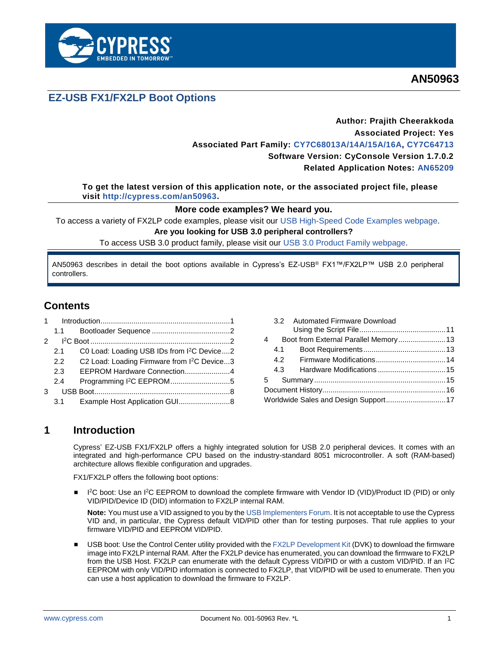

## **EZ-USB FX1/FX2LP Boot Options**

## **Author: Prajith Cheerakkoda Associated Project: Yes Associated Part Family: [CY7C68013A/14A/15A/16A,](http://www.cypress.com/?rID=38801) [CY7C64713](http://www.cypress.com/?rID=14172) Software Version: CyConsole Version 1.7.0.2 Related Application Notes: [AN65209](http://www.cypress.com/?rID=48371)**

**To get the latest version of this application note, or the associated project file, please visit [http://cypress.com/an50963.](http://cypress.com/an50963)**

### **More code examples? We heard you.**

To access a variety of FX2LP code examples, please visit our [USB High-Speed Code Examples webpage.](http://www.cypress.com/documentation/code-examples/usb-hi-speed-code-examples) **Are you looking for USB 3.0 peripheral controllers?**

To access USB 3.0 product family, please visit our [USB 3.0 Product Family webpage.](http://www.cypress.com/products/superspeed-usb-peripherals)

AN50963 describes in detail the boot options available in Cypress's EZ-USB® FX1™/FX2LP™ USB 2.0 peripheral controllers.

## **Contents**

| 1 |               |                                                         |  |
|---|---------------|---------------------------------------------------------|--|
|   | 1.1           |                                                         |  |
|   |               |                                                         |  |
|   | 2.1           | C0 Load: Loading USB IDs from I <sup>2</sup> C Device2  |  |
|   | $2.2^{\circ}$ | C2 Load: Loading Firmware from I <sup>2</sup> C Device3 |  |
|   | 2.3           | EEPROM Hardware Connection4                             |  |
|   | 2.4           | Programming I <sup>2</sup> C EEPROM5                    |  |
| 3 |               |                                                         |  |
|   | 3.1           | Example Host Application GUI8                           |  |

|   | 3.2 Automated Firmware Download       |  |
|---|---------------------------------------|--|
|   |                                       |  |
| 4 | Boot from External Parallel Memory13  |  |
|   |                                       |  |
|   |                                       |  |
|   |                                       |  |
|   |                                       |  |
|   |                                       |  |
|   | Worldwide Sales and Design Support 17 |  |
|   |                                       |  |

## <span id="page-0-0"></span>**1 Introduction**

Cypress' EZ-USB FX1/FX2LP offers a highly integrated solution for USB 2.0 peripheral devices. It comes with an integrated and high-performance CPU based on the industry-standard 8051 microcontroller. A soft (RAM-based) architecture allows flexible configuration and upgrades.

FX1/FX2LP offers the following boot options:

■ 1<sup>2</sup>C boot: Use an I<sup>2</sup>C EEPROM to download the complete firmware with Vendor ID (VID)/Product ID (PID) or only VID/PID/Device ID (DID) information to FX2LP internal RAM.

**Note:** You must use a VID assigned to you by th[e USB Implementers Forum.](http://www.usb.org/) It is not acceptable to use the Cypress VID and, in particular, the Cypress default VID/PID other than for testing purposes. That rule applies to your firmware VID/PID and EEPROM VID/PID.

USB boot: Use the Control Center utility provided with the [FX2LP Development Kit](http://www.cypress.com/?id=193&rtID=110) (DVK) to download the firmware image into FX2LP internal RAM. After the FX2LP device has enumerated, you can download the firmware to FX2LP from the USB Host. FX2LP can enumerate with the default Cypress VID/PID or with a custom VID/PID. If an I<sup>2</sup>C EEPROM with only VID/PID information is connected to FX2LP, that VID/PID will be used to enumerate. Then you can use a host application to download the firmware to FX2LP.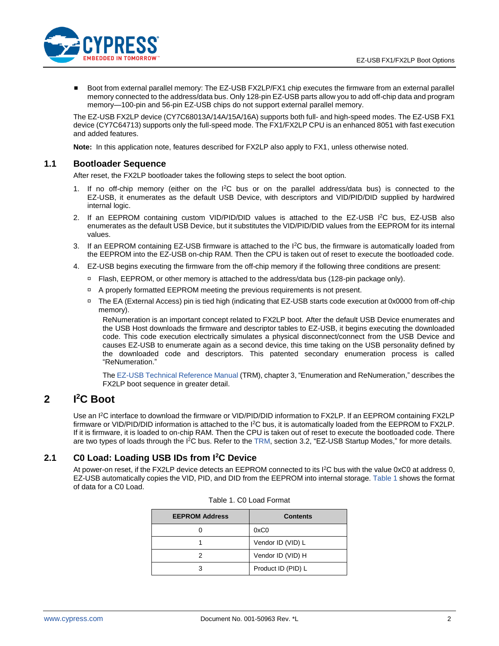

Boot from external parallel memory: The EZ-USB FX2LP/FX1 chip executes the firmware from an external parallel memory connected to the address/data bus. Only 128-pin EZ-USB parts allow you to add off-chip data and program memory—100-pin and 56-pin EZ-USB chips do not support external parallel memory.

The EZ-USB FX2LP device (CY7C68013A/14A/15A/16A) supports both full- and high-speed modes. The EZ-USB FX1 device (CY7C64713) supports only the full-speed mode. The FX1/FX2LP CPU is an enhanced 8051 with fast execution and added features.

**Note:** In this application note, features described for FX2LP also apply to FX1, unless otherwise noted.

### <span id="page-1-0"></span>**1.1 Bootloader Sequence**

After reset, the FX2LP bootloader takes the following steps to select the boot option.

- 1. If no off-chip memory (either on the I<sup>2</sup>C bus or on the parallel address/data bus) is connected to the EZ-USB, it enumerates as the default USB Device, with descriptors and VID/PID/DID supplied by hardwired internal logic.
- 2. If an EEPROM containing custom VID/PID/DID values is attached to the EZ-USB I<sup>2</sup>C bus, EZ-USB also enumerates as the default USB Device, but it substitutes the VID/PID/DID values from the EEPROM for its internal values.
- 3. If an EEPROM containing EZ-USB firmware is attached to the I<sup>2</sup>C bus, the firmware is automatically loaded from the EEPROM into the EZ-USB on-chip RAM. Then the CPU is taken out of reset to execute the bootloaded code.
- 4. EZ-USB begins executing the firmware from the off-chip memory if the following three conditions are present:
	- Flash, EEPROM, or other memory is attached to the address/data bus (128-pin package only).
	- A properly formatted EEPROM meeting the previous requirements is not present.
	- The EA (External Access) pin is tied high (indicating that EZ-USB starts code execution at 0x0000 from off-chip memory).

ReNumeration is an important concept related to FX2LP boot. After the default USB Device enumerates and the USB Host downloads the firmware and descriptor tables to EZ-USB, it begins executing the downloaded code. This code execution electrically simulates a physical disconnect/connect from the USB Device and causes EZ-USB to enumerate again as a second device, this time taking on the USB personality defined by the downloaded code and descriptors. This patented secondary enumeration process is called "ReNumeration."

Th[e EZ-USB Technical Reference Manual](http://www.cypress.com/?rID=38232) (TRM), chapter 3, "Enumeration and ReNumeration," describes the FX2LP boot sequence in greater detail.

#### <span id="page-1-1"></span>**2 I <sup>2</sup>C Boot**

Use an I<sup>2</sup>C interface to download the firmware or VID/PID/DID information to FX2LP. If an EEPROM containing FX2LP firmware or VID/PID/DID information is attached to the I<sup>2</sup>C bus, it is automatically loaded from the EEPROM to FX2LP. If it is firmware, it is loaded to on-chip RAM. Then the CPU is taken out of reset to execute the bootloaded code. There are two types of loads through the I<sup>2</sup>C bus. Refer to the [TRM,](http://www.cypress.com/?rID=38232) section 3.2, "EZ-USB Startup Modes," for more details.

### <span id="page-1-3"></span><span id="page-1-2"></span>**2.1 C0 Load: Loading USB IDs from I<sup>2</sup>C Device**

At power-on reset, if the FX2LP device detects an EEPROM connected to its I<sup>2</sup>C bus with the value 0xC0 at address 0, EZ-USB automatically copies the VID, PID, and DID from the EEPROM into internal storage. [Table 1](#page-1-3) shows the format of data for a C0 Load.

| <b>EEPROM Address</b> | <b>Contents</b>    |
|-----------------------|--------------------|
|                       | 0xC0               |
|                       | Vendor ID (VID) L  |
|                       | Vendor ID (VID) H  |
|                       | Product ID (PID) L |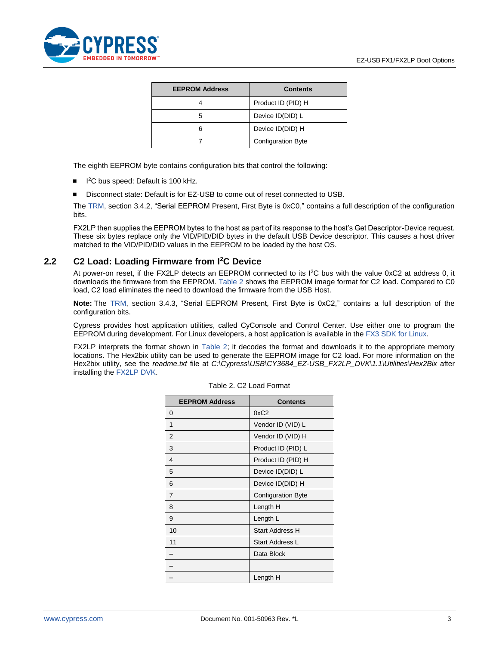

| <b>EEPROM Address</b> | <b>Contents</b>           |
|-----------------------|---------------------------|
|                       | Product ID (PID) H        |
|                       | Device ID(DID) L          |
|                       | Device ID(DID) H          |
|                       | <b>Configuration Byte</b> |

The eighth EEPROM byte contains configuration bits that control the following:

- I<sup>2</sup>C bus speed: Default is 100 kHz.
- Disconnect state: Default is for EZ-USB to come out of reset connected to USB.

The [TRM,](http://www.cypress.com/?id=193&rtID=117) section 3.4.2, "Serial EEPROM Present, First Byte is 0xC0," contains a full description of the configuration bits.

FX2LP then supplies the EEPROM bytes to the host as part of its response to the host's Get Descriptor-Device request. These six bytes replace only the VID/PID/DID bytes in the default USB Device descriptor. This causes a host driver matched to the VID/PID/DID values in the EEPROM to be loaded by the host OS.

#### <span id="page-2-0"></span>**2.2 C2 Load: Loading Firmware from I<sup>2</sup>C Device**

At power-on reset, if the FX2LP detects an EEPROM connected to its I<sup>2</sup>C bus with the value 0xC2 at address 0, it downloads the firmware from the EEPROM. [Table 2](#page-2-1) shows the EEPROM image format for C2 load. Compared to C0 load, C2 load eliminates the need to download the firmware from the USB Host.

**Note:** The [TRM,](http://www.cypress.com/?rID=38232) section 3.4.3, "Serial EEPROM Present, First Byte is 0xC2," contains a full description of the configuration bits.

Cypress provides host application utilities, called CyConsole and Control Center. Use either one to program the EEPROM during development. For Linux developers, a host application is available in the [FX3 SDK for Linux.](http://www.cypress.com/?rID=57990)

<span id="page-2-1"></span>FX2LP interprets the format shown in [Table 2;](#page-2-1) it decodes the format and downloads it to the appropriate memory locations. The Hex2bix utility can be used to generate the EEPROM image for C2 load. For more information on the Hex2bix utility, see the *readme.txt* file at *C:\Cypress\USB\CY3684\_EZ-USB\_FX2LP\_DVK\1.1\Utilities\Hex2Bix* after installing th[e FX2LP DVK.](http://www.cypress.com/?id=193&rtID=110)

| <b>EEPROM Address</b> | <b>Contents</b>           |
|-----------------------|---------------------------|
| 0                     | 0xC2                      |
| 1                     | Vendor ID (VID) L         |
| 2                     | Vendor ID (VID) H         |
| 3                     | Product ID (PID) L        |
| 4                     | Product ID (PID) H        |
| 5                     | Device ID(DID) L          |
| 6                     | Device ID(DID) H          |
| $\overline{7}$        | <b>Configuration Byte</b> |
| 8                     | Length H                  |
| 9                     | Length L                  |
| 10                    | <b>Start Address H</b>    |
| 11                    | Start Address L           |
|                       | Data Block                |
|                       |                           |
|                       | Length H                  |

| Table 2. C2 Load Format |  |  |  |
|-------------------------|--|--|--|
|-------------------------|--|--|--|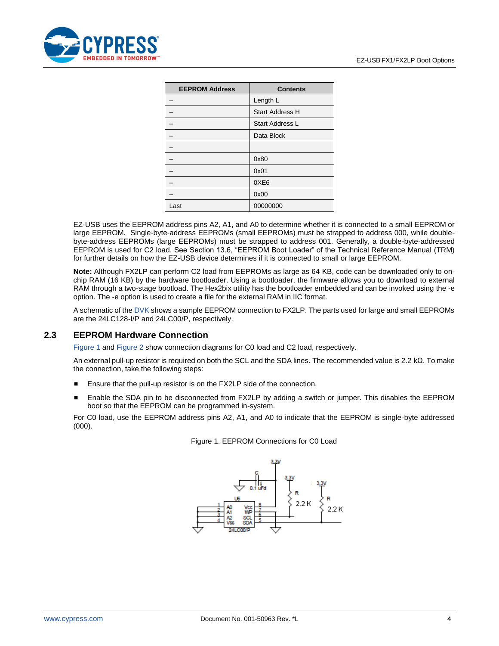

| <b>EEPROM Address</b> | <b>Contents</b>        |
|-----------------------|------------------------|
|                       | Length L               |
|                       | <b>Start Address H</b> |
|                       | <b>Start Address L</b> |
|                       | Data Block             |
|                       |                        |
|                       | 0x80                   |
|                       | 0x01                   |
|                       | 0XE6                   |
|                       | 0x00                   |
| Last                  | 00000000               |

EZ-USB uses the EEPROM address pins A2, A1, and A0 to determine whether it is connected to a small EEPROM or large EEPROM. Single-byte-address EEPROMs (small EEPROMs) must be strapped to address 000, while doublebyte-address EEPROMs (large EEPROMs) must be strapped to address 001. Generally, a double-byte-addressed EEPROM is used for C2 load. See Section 13.6, "EEPROM Boot Loader" of the Technical Reference Manual (TRM) for further details on how the EZ-USB device determines if it is connected to small or large EEPROM.

**Note:** Although FX2LP can perform C2 load from EEPROMs as large as 64 KB, code can be downloaded only to onchip RAM (16 KB) by the hardware bootloader. Using a bootloader, the firmware allows you to download to external RAM through a two-stage bootload. The Hex2bix utility has the bootloader embedded and can be invoked using the -e option. The -e option is used to create a file for the external RAM in IIC format.

A schematic of th[e DVK](http://www.cypress.com/?id=193&rtID=110) shows a sample EEPROM connection to FX2LP. The parts used for large and small EEPROMs are the 24LC128-I/P and 24LC00/P, respectively.

### <span id="page-3-0"></span>**2.3 EEPROM Hardware Connection**

[Figure 1](#page-3-1) and [Figure 2](#page-4-1) show connection diagrams for C0 load and C2 load, respectively.

An external pull-up resistor is required on both the SCL and the SDA lines. The recommended value is 2.2 kΩ. To make the connection, take the following steps:

- Ensure that the pull-up resistor is on the FX2LP side of the connection.
- Enable the SDA pin to be disconnected from FX2LP by adding a switch or jumper. This disables the EEPROM boot so that the EEPROM can be programmed in-system.

<span id="page-3-1"></span>For C0 load, use the EEPROM address pins A2, A1, and A0 to indicate that the EEPROM is single-byte addressed (000).



Figure 1. EEPROM Connections for C0 Load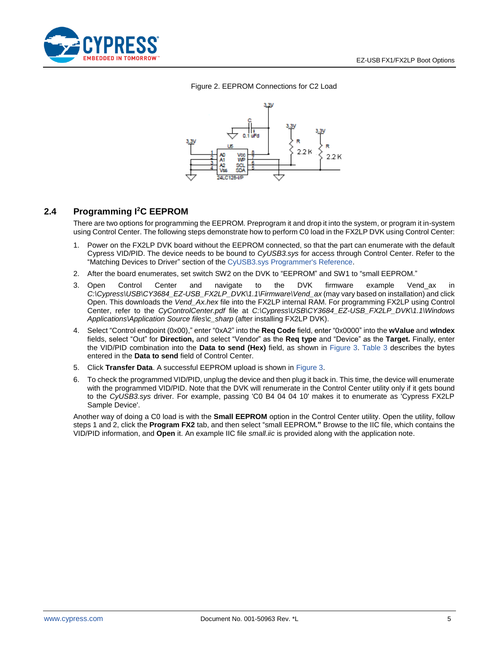<span id="page-4-1"></span>

#### <span id="page-4-2"></span>Figure 2. EEPROM Connections for C2 Load



### <span id="page-4-0"></span>**2.4 Programming I<sup>2</sup>C EEPROM**

There are two options for programming the EEPROM. Preprogram it and drop it into the system, or program it in-system using Control Center. The following steps demonstrate how to perform C0 load in the FX2LP DVK using Control Center:

- 1. Power on the FX2LP DVK board without the EEPROM connected, so that the part can enumerate with the default Cypress VID/PID. The device needs to be bound to *CyUSB3.sys* for access through Control Center. Refer to the "Matching Devices to Driver" section of the [CyUSB3.sys Programmer's Reference.](http://www.cypress.com/index.cfm?docID=45919)
- 2. After the board enumerates, set switch SW2 on the DVK to "EEPROM" and SW1 to "small EEPROM."
- 3. Open Control Center and navigate to the DVK firmware example Vend\_ax in *C:\Cypress\USB\CY3684\_EZ-USB\_FX2LP\_DVK\1.1\Firmware\Vend\_ax* (may vary based on installation) and click Open. This downloads the *Vend\_Ax.hex* file into the FX2LP internal RAM. For programming FX2LP using Control Center, refer to the *CyControlCenter.pdf* file at *C:\Cypress\USB\CY3684\_EZ-USB\_FX2LP\_DVK\1.1\Windows Applications\Application Source files\c\_sharp* (after installing FX2LP DVK).
- 4. Select "Control endpoint (0x00)," enter "0xA2" into the **Req Code** field, enter "0x0000" into the **wValue** and **wIndex** fields, select "Out" for **Direction,** and select "Vendor" as the **Req type** and "Device" as the **Target.** Finally, enter the VID/PID combination into the **Data to send (Hex)** field, as shown in [Figure 3.](#page-5-0) [Table 3](#page-5-1) describes the bytes entered in the **Data to send** field of Control Center.
- 5. Click **Transfer Data**. A successful EEPROM upload is shown in [Figure 3.](#page-5-0)
- 6. To check the programmed VID/PID, unplug the device and then plug it back in. This time, the device will enumerate with the programmed VID/PID. Note that the DVK will renumerate in the Control Center utility only if it gets bound to the *CyUSB3.sys* driver. For example, passing 'C0 B4 04 04 10' makes it to enumerate as 'Cypress FX2LP Sample Device'.

Another way of doing a C0 load is with the **Small EEPROM** option in the Control Center utility. Open the utility, follow steps 1 and 2, click the **Program FX2** tab, and then select "small EEPROM*.***"** Browse to the IIC file, which contains the VID/PID information, and **Open** it. An example IIC file *small.iic* is provided along with the application note.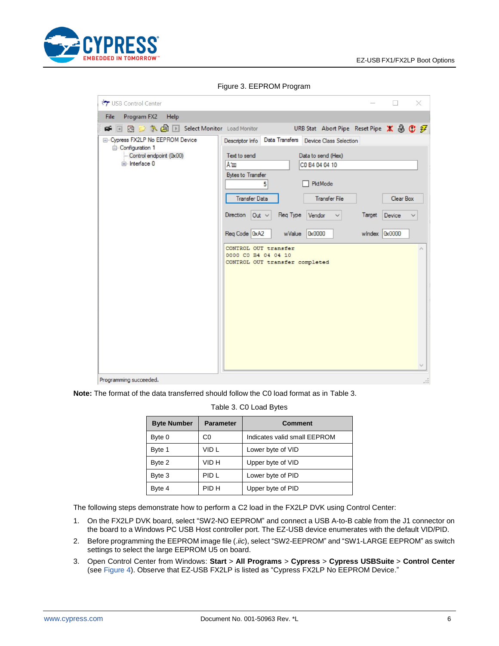

<span id="page-5-0"></span>

| USB Control Center                                     | $\times$                                                                                      |
|--------------------------------------------------------|-----------------------------------------------------------------------------------------------|
| Program FX2<br>File<br>Help                            |                                                                                               |
| <b>呼</b> 同同它 A 国 D Select Monitor Load Monitor         | URB Stat Abort Pipe Reset Pipe X 4 C 子                                                        |
| E- Cypress FX2LP No EEPROM Device<br>- Configuration 1 | Data Transfers Device Class Selection<br>Descriptor Info                                      |
| -- Control endpoint (0x00)<br>interface 0              | Text to send<br>Data to send (Hex)                                                            |
|                                                        | Am<br>CO B4 04 04 10                                                                          |
|                                                        | <b>Bytes to Transfer</b><br><b>PktMode</b><br>5                                               |
|                                                        | <b>Transfer File</b><br><b>Transfer Data</b><br>Clear Box                                     |
|                                                        | Req Type<br>Direction<br>Out ~<br>Vendor<br>Target<br>Device                                  |
|                                                        |                                                                                               |
|                                                        | Req Code   0xA2<br><b>0x0000</b><br><b>0x0000</b><br>wValue<br>windex<br>CONTROL OUT transfer |

Figure 3. EEPROM Program

<span id="page-5-1"></span>**Note:** The format of the data transferred should follow the C0 load format as in [Table 3.](#page-5-1)

#### Table 3. C0 Load Bytes

| <b>Byte Number</b> | <b>Parameter</b> | <b>Comment</b>               |
|--------------------|------------------|------------------------------|
| Byte 0             | C0               | Indicates valid small EEPROM |
| Byte 1             | VID L            | Lower byte of VID            |
| Byte 2             | VID H            | Upper byte of VID            |
| Byte 3             | PID L            | Lower byte of PID            |
| Byte 4             | PID H            | Upper byte of PID            |

The following steps demonstrate how to perform a C2 load in the FX2LP DVK using Control Center:

- 1. On the FX2LP DVK board, select "SW2-NO EEPROM" and connect a USB A-to-B cable from the J1 connector on the board to a Windows PC USB Host controller port. The EZ-USB device enumerates with the default VID/PID.
- 2. Before programming the EEPROM image file (.*iic*), select "SW2-EEPROM" and "SW1-LARGE EEPROM" as switch settings to select the large EEPROM U5 on board.
- 3. Open Control Center from Windows: **Start** > **All Programs** > **Cypress** > **Cypress USBSuite** > **Control Center** (see [Figure 4\)](#page-6-0). Observe that EZ-USB FX2LP is listed as "Cypress FX2LP No EEPROM Device."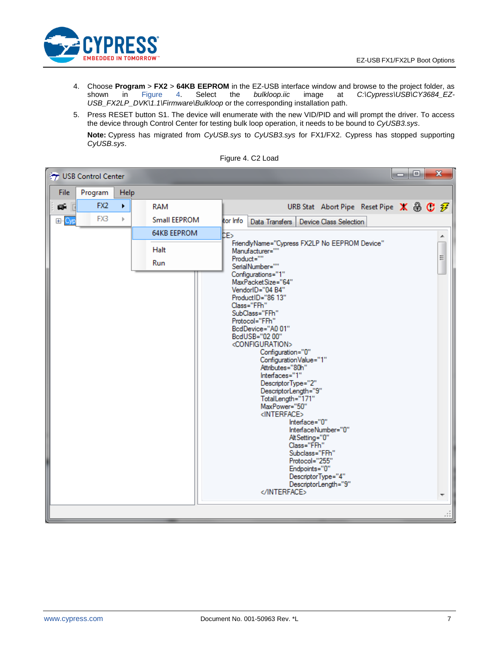

- 4. Choose **Program** > **FX2** > 64KB EEPROM in the EZ-USB interface window and browse to the project folder, as shown in Figure 4. Select the *bulkloop.iic* image at *C:\Cypress\USB\CY3684\_EZ*shown in [Figure 4.](#page-6-0) Select the *bulkloop.iic* image at *C:\Cypress\USB\CY3684\_EZ-USB\_FX2LP\_DVK\1.1\Firmware\Bulkloop* or the corresponding installation path.
- 5. Press RESET button S1. The device will enumerate with the new VID/PID and will prompt the driver. To access the device through Control Center for testing bulk loop operation, it needs to be bound to *CyUSB3.sys*. **Note:** Cypress has migrated from *CyUSB.sys* to *CyUSB3.sys* for FX1/FX2. Cypress has stopped supporting *CyUSB.sys*.

<span id="page-6-0"></span>

|             | USB Control Center   |              |                     | a B<br>$\mathbf{x}$                                                                                                                                                                                                                                                                                                                                                                                                                                                                                                                                                                                                          |
|-------------|----------------------|--------------|---------------------|------------------------------------------------------------------------------------------------------------------------------------------------------------------------------------------------------------------------------------------------------------------------------------------------------------------------------------------------------------------------------------------------------------------------------------------------------------------------------------------------------------------------------------------------------------------------------------------------------------------------------|
| <b>File</b> | Program              | Help         |                     |                                                                                                                                                                                                                                                                                                                                                                                                                                                                                                                                                                                                                              |
| œĤ          | FX <sub>2</sub><br>П | ٠            | <b>RAM</b>          | URB Stat Abort Pipe Reset Pipe $\mathbf{X} \oplus \mathbf{C}$ $\mathcal{F}$                                                                                                                                                                                                                                                                                                                                                                                                                                                                                                                                                  |
| El-Cyp      | FX3                  | $\mathbb{P}$ | <b>Small EEPROM</b> | tor Info<br>Data Transfers<br><b>Device Class Selection</b>                                                                                                                                                                                                                                                                                                                                                                                                                                                                                                                                                                  |
|             |                      |              | <b>64KB EEPROM</b>  | bБ<br>۸                                                                                                                                                                                                                                                                                                                                                                                                                                                                                                                                                                                                                      |
|             |                      |              | Halt                | FriendlyName="Cypress FX2LP No EEPROM Device"<br>$\overline{a}$<br>Manufacturer=""                                                                                                                                                                                                                                                                                                                                                                                                                                                                                                                                           |
|             |                      |              | Run                 | Product=""<br>SerialNumber=""                                                                                                                                                                                                                                                                                                                                                                                                                                                                                                                                                                                                |
|             |                      |              |                     | Configurations="1"<br>MaxPacketSize="64"<br>VendorID="04 B4"<br>ProductID="86 13"<br>Class="FFh"<br>SubClass="FFh"<br>Protocol="FFh"<br>BcdDevice="A0 01"<br>BcdUSB="02 00"<br><configuration><br/>Configuration="0"<br/>Configuration Value="1"<br/>Attributes="80h"<br/>Interfaces="1"<br/>DescriptorType="2"<br/>DescriptorLength="9"<br/>TotalLength="171"<br/>MaxPower="50"<br/><interface><br/>Interface="0"<br/>InterfaceNumber="0"<br/>AltSetting="0"<br/>Class="FFh"<br/>Subclass="FFh"<br/>Protocol="255"<br/>Endpoints="0"<br/>DescriptorType="4"<br/>DescriptorLength="9"<br/></interface><br/>ш</configuration> |

Figure 4. C2 Load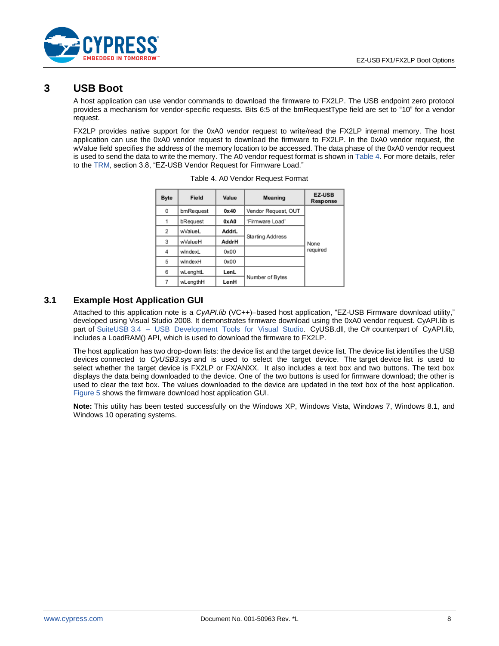

## <span id="page-7-0"></span>**3 USB Boot**

A host application can use vendor commands to download the firmware to FX2LP. The USB endpoint zero protocol provides a mechanism for vendor-specific requests. Bits 6:5 of the bmRequestType field are set to "10" for a vendor request.

<span id="page-7-2"></span>FX2LP provides native support for the 0xA0 vendor request to write/read the FX2LP internal memory. The host application can use the 0xA0 vendor request to download the firmware to FX2LP. In the 0xA0 vendor request, the wValue field specifies the address of the memory location to be accessed. The data phase of the 0xA0 vendor request is used to send the data to write the memory. The A0 vendor request format is shown in [Table 4.](#page-7-2) For more details, refer to the [TRM,](http://www.cypress.com/?rID=38232) section 3.8, "EZ-USB Vendor Request for Firmware Load."

| <b>Byte</b> | Field<br>Value |       | Meaning             | <b>EZ-USB</b><br>Response |  |
|-------------|----------------|-------|---------------------|---------------------------|--|
| 0           | bmRequest      | 0x40  | Vendor Request, OUT |                           |  |
| 1           | bRequest       | 0xA0  | 'Firmware Load'     |                           |  |
| 2           | wValueL        | AddrL |                     |                           |  |
| 3           | wValueH        | AddrH | Starting Address    | None                      |  |
| 4           | windexL        | 0x00  |                     | required                  |  |
| 5           | windexH        | 0x00  |                     |                           |  |
| 6           | wLenghtL       | LenL  |                     |                           |  |
| 7           | wLengthH       | LenH  | Number of Bytes     |                           |  |

| Table 4. A0 Vendor Request Format |  |  |
|-----------------------------------|--|--|
|                                   |  |  |

### <span id="page-7-1"></span>**3.1 Example Host Application GUI**

Attached to this application note is a *CyAPI.lib* (VC++)–based host application, "EZ-USB Firmware download utility," developed using Visual Studio 2008. It demonstrates firmware download using the 0xA0 vendor request. CyAPI.lib is part of [SuiteUSB 3.4 – USB Development Tools for Visual Studio.](http://www.cypress.com/documentation/software-and-drivers/suiteusb-34-usb-development-tools-visual-studio) CyUSB.dll, the C# counterpart of CyAPI.lib, includes a LoadRAM() API, which is used to download the firmware to FX2LP.

The host application has two drop-down lists: the device list and the target device list. The device list identifies the USB devices connected to *CyUSB3.sys* and is used to select the target device. The target device list is used to select whether the target device is FX2LP or FX/ANXX. It also includes a text box and two buttons. The text box displays the data being downloaded to the device. One of the two buttons is used for firmware download; the other is used to clear the text box. The values downloaded to the device are updated in the text box of the host application. [Figure 5](#page-8-0) shows the firmware download host application GUI.

**Note:** This utility has been tested successfully on the Windows XP, Windows Vista, Windows 7, Windows 8.1, and Windows 10 operating systems.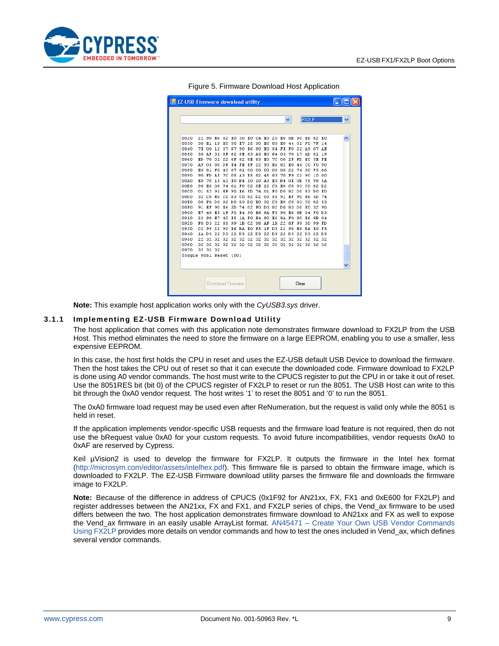<span id="page-8-0"></span>

| <b>EZ-USB Firmware download utility</b> |                |           |     |                   |                |                |                   |                |       |       |       |       |       |              |                   |           |  |  |
|-----------------------------------------|----------------|-----------|-----|-------------------|----------------|----------------|-------------------|----------------|-------|-------|-------|-------|-------|--------------|-------------------|-----------|--|--|
|                                         |                |           |     |                   |                |                |                   |                |       |       |       |       |       |              |                   |           |  |  |
|                                         |                |           |     |                   |                |                |                   |                |       |       |       | v     |       | <b>FX2LP</b> |                   |           |  |  |
|                                         |                |           |     |                   |                |                |                   |                |       |       |       |       |       |              |                   |           |  |  |
|                                         |                |           |     |                   |                |                |                   |                |       |       |       |       |       |              |                   |           |  |  |
| 0820                                    | 22             | 90        | R6  | 82                | RO.            | 30             | RO.               |                | 04 RO |       | 20 K6 | 0B    | 90    | R6           | 82                | <b>RO</b> |  |  |
| 0830                                    | 30             | E1        | 19  | E0                | 30             | E7             | 15                | 90             | E6    | 80    | E0    | 44    | 01    | FO           | 7F                | 14        |  |  |
| 0840                                    | 7E             | 00        | 12  | 07                | 87             | 90             | R6                | 80             | RO.   | 54    | FE    | FO    | 22 A9 |              | 07                | AE        |  |  |
| 0850                                    | 30             | AF        | 31  | 8F                | 82             | 8E             | 83                | A3             | E0    | 64    | 03    | 70    | 17    | AD           | 01                | 19        |  |  |
| 0860                                    | ED             | 70        | 01  | 22                | 8F             | 82             | 8E                | 83             | E0    | 7C    | 00    | 2F    | FD    | ЕC           | ЗЕ                | FE        |  |  |
| 0870                                    | ΑF             | 0.5       | 80  | DF                | E <sub>4</sub> | FR             | FF                | 22             | 90    | E6    | 82    | ЕO    | 44    | CO.          | FO                | 90        |  |  |
| 0880                                    | E6             | 81        | F0  | 43                | 87             | 01             | 00                | 00             | 00    | 00    | 00    | 22    | 74    | 00           | F5                | 86        |  |  |
| 0890                                    | 90             | FD        | A5  | 7C                | 05             | A3             | E5                | 82             | 45    | 83    | 70    | F9    | 22    | 90           | 10                | 00        |  |  |
| 08A0                                    | RO.            | 70        | 15  | A3                | E0             | B4             | 10                | 10 A3          |       | E0    | B4    | OK    | 0B    | 75           | 98                | 5A        |  |  |
| 08B0                                    | 90             | E6        | 08  | 74                | 01             | FO             | C <sub>2</sub>    | 8E             | 22    | CO.   | E0    | CO.   | 83    | CO.          | 82 D <sub>2</sub> |           |  |  |
| 08C0                                    | 01             | 53        | 91  | <b>RF</b>         | 90             | R6             | 5D                | 74             | 01    | FO DO |       | 82 DO |       | 83           | DO KO             |           |  |  |
| 08DO                                    | 32             | CO.       | E0  | CO.               | 83             | CO.            | 82 D <sub>2</sub> |                | -03   | 53    | 91    | EF    | 90    | E6           | 5D                | 74        |  |  |
| 08E0                                    | 08             | F0        | DO. | 82                | DO             | 83             | DO.               | <b>EO</b>      | 32    | CO.   | E0    | CO.   | 83    | CO.          | 82                | 53        |  |  |
| 08F0                                    | 91             | <b>RF</b> | 90  | E6                | 5D             | 74             | 02                | FO DO          |       |       | 82 DO | 83 DO |       | RO.          | 32                | 90        |  |  |
| 0900                                    | E7             | 40        | E5  | 1F                | FO             | E <sub>4</sub> | 90                | E6             | 8A FO |       | 90    | E6    | 8B    |              | 04 FO D3          |           |  |  |
| 0910                                    | 22             | 90        | E7  | 40                | R <sub>5</sub> | 1A             | FO.               | E <sub>4</sub> | 90    | E6    | 8A    | FO    | 90    | R6           | 8B.               | 04        |  |  |
| 0920                                    | FO.            | D3        | 22  | 85                | 99             | 1B             | C <sub>2</sub>    | 98 AF          |       | 1B    | 22    | 8F    | 99    | 30           | 99.               | <b>FD</b> |  |  |
| 0930                                    | C <sub>2</sub> | 99        | 22  | 90                | E6             | <b>BA</b>      | RO.               | F5             |       | 1F D3 | 22    | 90    | R6    | BA EO        |                   | F5        |  |  |
| 0940                                    |                | 1A D3     | 22  | D3                | 22             | D3             |                   | 22 D3 22 D3    |       |       | 22    | D3    | 22    | DЗ           | 22 D3             |           |  |  |
| 0950                                    | 22             | 32        | 32  | 32                | 32             | 32             |                   | 32 32 32       |       | 32    | 32    | 32    | -32   | 32           | 32 32             |           |  |  |
| 0960                                    | 32             | 32        |     |                   |                |                |                   |                |       |       |       |       |       |              |                   |           |  |  |
| 0970                                    |                | 32 32 32  |     |                   |                |                |                   |                |       |       |       |       |       |              |                   |           |  |  |
| Toggle 8051 Reset (00)                  |                |           |     |                   |                |                |                   |                |       |       |       |       |       |              |                   |           |  |  |
|                                         |                |           |     |                   |                |                |                   |                |       |       |       |       |       |              |                   |           |  |  |
|                                         |                |           |     |                   |                |                |                   |                |       |       |       |       |       |              |                   |           |  |  |
|                                         |                |           |     |                   |                |                |                   |                |       |       |       |       |       |              |                   |           |  |  |
|                                         |                |           |     |                   |                |                |                   |                |       |       |       |       |       |              |                   |           |  |  |
|                                         |                |           |     | Download Firmware |                |                |                   |                |       |       |       |       | Clear |              |                   |           |  |  |
|                                         |                |           |     |                   |                |                |                   |                |       |       |       |       |       |              |                   |           |  |  |

Figure 5. Firmware Download Host Application

**Note:** This example host application works only with the *CyUSB3.sys* driver.

#### **3.1.1 Implementing EZ-USB Firmware Download Utility**

The host application that comes with this application note demonstrates firmware download to FX2LP from the USB Host. This method eliminates the need to store the firmware on a large EEPROM, enabling you to use a smaller, less expensive EEPROM.

In this case, the host first holds the CPU in reset and uses the EZ-USB default USB Device to download the firmware. Then the host takes the CPU out of reset so that it can execute the downloaded code. Firmware download to FX2LP is done using A0 vendor commands. The host must write to the CPUCS register to put the CPU in or take it out of reset. Use the 8051RES bit (bit 0) of the CPUCS register of FX2LP to reset or run the 8051. The USB Host can write to this bit through the 0xA0 vendor request. The host writes '1' to reset the 8051 and '0' to run the 8051.

The 0xA0 firmware load request may be used even after ReNumeration, but the request is valid only while the 8051 is held in reset.

If the application implements vendor-specific USB requests and the firmware load feature is not required, then do not use the bRequest value 0xA0 for your custom requests. To avoid future incompatibilities, vendor requests 0xA0 to 0xAF are reserved by Cypress.

Keil µVision2 is used to develop the firmware for FX2LP. It outputs the firmware in the Intel hex format [\(http://microsym.com/editor/assets/intelhex.pdf\)](http://microsym.com/editor/assets/intelhex.pdf). This firmware file is parsed to obtain the firmware image, which is downloaded to FX2LP. The EZ-USB Firmware download utility parses the firmware file and downloads the firmware image to FX2LP.

**Note:** Because of the difference in address of CPUCS (0x1F92 for AN21xx, FX, FX1 and 0xE600 for FX2LP) and register addresses between the AN21xx, FX and FX1, and FX2LP series of chips, the Vend\_ax firmware to be used differs between the two. The host application demonstrates firmware download to AN21xx and FX as well to expose the Vend\_ax firmware in an easily usable ArrayList format. AN45471 – [Create Your Own USB Vendor Commands](http://www.cypress.com/?rID=34485)  [Using FX2LP p](http://www.cypress.com/?rID=34485)rovides more details on vendor commands and how to test the ones included in Vend\_ax, which defines several vendor commands.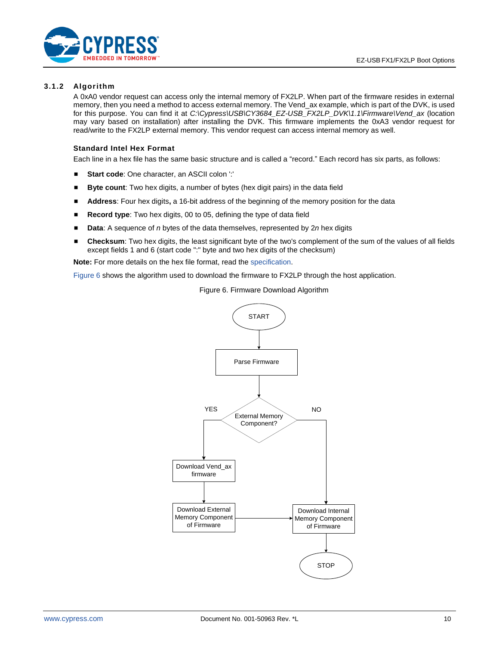

#### **3.1.2 Algorithm**

A 0xA0 vendor request can access only the internal memory of FX2LP. When part of the firmware resides in external memory, then you need a method to access external memory. The Vend\_ax example, which is part of the DVK, is used for this purpose. You can find it at *C:\Cypress\USB\CY3684\_EZ-USB\_FX2LP\_DVK\1.1\Firmware\Vend\_ax* (location may vary based on installation) after installing the DVK. This firmware implements the 0xA3 vendor request for read/write to the FX2LP external memory. This vendor request can access internal memory as well.

#### **Standard Intel Hex Format**

Each line in a hex file has the same basic structure and is called a "record." Each record has six parts, as follows:

- **Start code**: One character, an ASCII colon ':'
- **E** Byte count: Two hex digits, a number of bytes (hex digit pairs) in the data field
- **E** Address: Four hex digits, a 16-bit address of the beginning of the memory position for the data
- **Record type**: Two hex digits, 00 to 05, defining the type of data field
- **Data**: A sequence of *n* bytes of the data themselves, represented by 2*n* hex digits
- Checksum: Two hex digits, the least significant byte of the two's complement of the sum of the values of all fields except fields 1 and 6 (start code ":" byte and two hex digits of the checksum)

**Note:** For more details on the hex file format, read th[e specification.](http://microsym.com/editor/assets/intelhex.pdf)

<span id="page-9-0"></span>[Figure 6](#page-9-0) shows the algorithm used to download the firmware to FX2LP through the host application.

START Parse Firmware External Memory Component? Download Vend\_ax firmware Download External Memory Component whiload External Download Internal Download Internal Download Internal Memory Component of Firmware **STOP** YES NO

Figure 6. Firmware Download Algorithm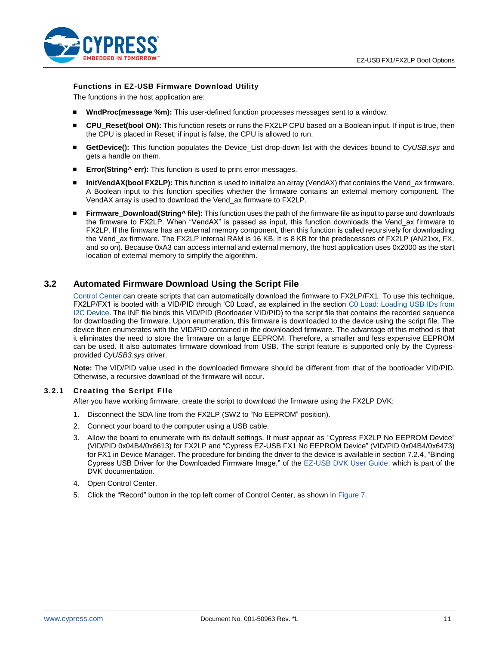

#### **Functions in EZ-USB Firmware Download Utility**

The functions in the host application are:

- **WndProc(message %m):** This user-defined function processes messages sent to a window.
- **CPU\_Reset(bool ON):** This function resets or runs the FX2LP CPU based on a Boolean input. If input is true, then the CPU is placed in Reset; if input is false, the CPU is allowed to run.
- GetDevice(): This function populates the Device\_List drop-down list with the devices bound to *CyUSB*.sys and gets a handle on them.
- **Error(String^ err):** This function is used to print error messages.
- **InitVendAX(bool FX2LP):** This function is used to initialize an array (VendAX) that contains the Vend\_ax firmware. A Boolean input to this function specifies whether the firmware contains an external memory component. The VendAX array is used to download the Vend\_ax firmware to FX2LP.
- **Firmware** Download(String<sup> $\land$ </sup> file): This function uses the path of the firmware file as input to parse and downloads the firmware to FX2LP. When "VendAX" is passed as input, this function downloads the Vend\_ax firmware to FX2LP. If the firmware has an external memory component, then this function is called recursively for downloading the Vend\_ax firmware. The FX2LP internal RAM is 16 KB. It is 8 KB for the predecessors of FX2LP (AN21xx, FX, and so on). Because 0xA3 can access internal and external memory, the host application uses 0x2000 as the start location of external memory to simplify the algorithm.

### <span id="page-10-0"></span>**3.2 Automated Firmware Download Using the Script File**

[Control Center](http://www.cypress.com/documentation/software-and-drivers/ez-usb-fx3-software-development-kit) can create scripts that can automatically download the firmware to FX2LP/FX1. To use this technique, FX2LP/FX1 is booted with a VID/PID through 'C0 Load', as explained in the section [C0 Load: Loading USB IDs from](#page-1-2)  [I2C Device.](#page-1-2) The INF file binds this VID/PID (Bootloader VID/PID) to the script file that contains the recorded sequence for downloading the firmware. Upon enumeration, this firmware is downloaded to the device using the script file. The device then enumerates with the VID/PID contained in the downloaded firmware. The advantage of this method is that it eliminates the need to store the firmware on a large EEPROM. Therefore, a smaller and less expensive EEPROM can be used. It also automates firmware download from USB. The script feature is supported only by the Cypressprovided *CyUSB3.sys* driver.

**Note:** The VID/PID value used in the downloaded firmware should be different from that of the bootloader VID/PID. Otherwise, a recursive download of the firmware will occur.

#### **3.2.1 Creating the Script File**

After you have working firmware, create the script to download the firmware using the FX2LP DVK:

- 1. Disconnect the SDA line from the FX2LP (SW2 to "No EEPROM" position).
- 2. Connect your board to the computer using a USB cable.
- 3. Allow the board to enumerate with its default settings. It must appear as "Cypress FX2LP No EEPROM Device" (VID/PID 0x04B4/0x8613) for FX2LP and "Cypress EZ-USB FX1 No EEPROM Device" (VID/PID 0x04B4/0x6473) for FX1 in Device Manager. The procedure for binding the driver to the device is available in section 7.2.4, "Binding Cypress USB Driver for the Downloaded Firmware Image," of the [EZ-USB DVK User Guide,](http://www.cypress.com/?docID=37298) which is part of the DVK documentation.
- 4. Open Control Center.
- 5. Click the "Record" button in the top left corner of Control Center, as shown in [Figure 7.](#page-11-0)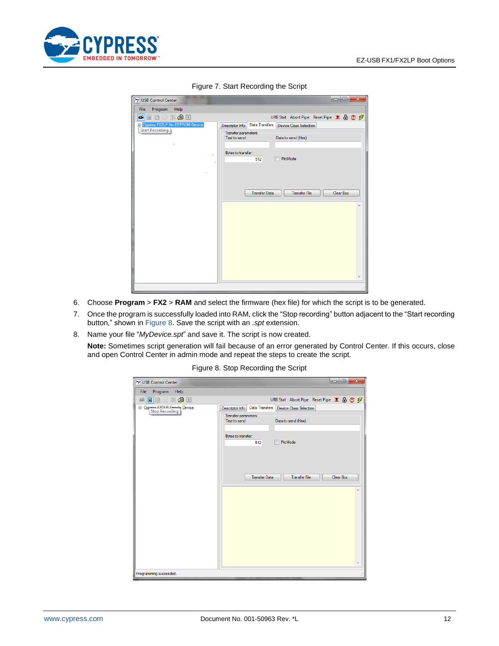<span id="page-11-0"></span>

| USB Control Center                                          |                                      |                       |                                                                                      | le e e    | $\mathbf{x}$ |
|-------------------------------------------------------------|--------------------------------------|-----------------------|--------------------------------------------------------------------------------------|-----------|--------------|
| Help<br>File<br>Program                                     |                                      |                       |                                                                                      |           |              |
| 中国西部公园                                                      |                                      |                       | URB Stat Abort Pipe Reset Pipe $\mathbf{X} \oplus \mathbf{C} \nsubseteq \mathcal{F}$ |           |              |
| E- Cypress FX2LP No EEPROM Device<br><b>Start Recording</b> | Descriptor Info                      | <b>Data Transfers</b> | Device Class Selection                                                               |           |              |
|                                                             | Transfer parameters<br>Text to send: |                       | Data to send (Hex):                                                                  |           |              |
|                                                             | Bytes to transfer:                   | 512                   | PktMode<br>F                                                                         |           |              |
|                                                             |                                      | <b>Transfer Data</b>  | <b>Transfer File</b>                                                                 | Clear Box |              |
|                                                             |                                      |                       |                                                                                      |           |              |
|                                                             |                                      |                       |                                                                                      |           |              |
|                                                             |                                      |                       |                                                                                      |           | лi           |

Figure 7. Start Recording the Script

- 6. Choose **Program** > **FX2** > **RAM** and select the firmware (hex file) for which the script is to be generated.
- 7. Once the program is successfully loaded into RAM, click the "Stop recording" button adjacent to the "Start recording button," shown in [Figure 8.](#page-11-1) Save the script with an *.spt* extension.
- <span id="page-11-1"></span>8. Name your file "*MyDevice.spt*" and save it. The script is now created.
	- **Note:** Sometimes script generation will fail because of an error generated by Control Center. If this occurs, close and open Control Center in admin mode and repeat the steps to create the script.

#### Figure 8. Stop Recording the Script

| $  -  $ e $ $<br>USB Control Center                    |                                                             |                      |                                                                                      |  |   |  |    |  |
|--------------------------------------------------------|-------------------------------------------------------------|----------------------|--------------------------------------------------------------------------------------|--|---|--|----|--|
| Program Help<br>File                                   |                                                             |                      |                                                                                      |  |   |  |    |  |
| 0 % 由口<br>咸<br>同<br>o                                  |                                                             |                      | URB Stat Abort Pipe Reset Pipe $\mathbf{X} \oplus \mathbf{C} \nsubseteq \mathcal{F}$ |  |   |  |    |  |
| E Cypress EX2LP Sample Device<br><b>Stop Recording</b> | Descriptor Info                                             | Data Transfers       | <b>Device Class Selection</b>                                                        |  |   |  |    |  |
|                                                        | Transfer parameters<br>Text to send:<br>Data to send (Hex): |                      |                                                                                      |  |   |  |    |  |
|                                                        | Bytes to transfer:<br>PktMode<br>512                        |                      |                                                                                      |  |   |  |    |  |
|                                                        |                                                             | <b>Transfer File</b> | Clear Box                                                                            |  | ۸ |  |    |  |
|                                                        |                                                             |                      |                                                                                      |  |   |  |    |  |
|                                                        |                                                             |                      |                                                                                      |  |   |  |    |  |
| Programming succeeded.                                 |                                                             |                      |                                                                                      |  |   |  | лi |  |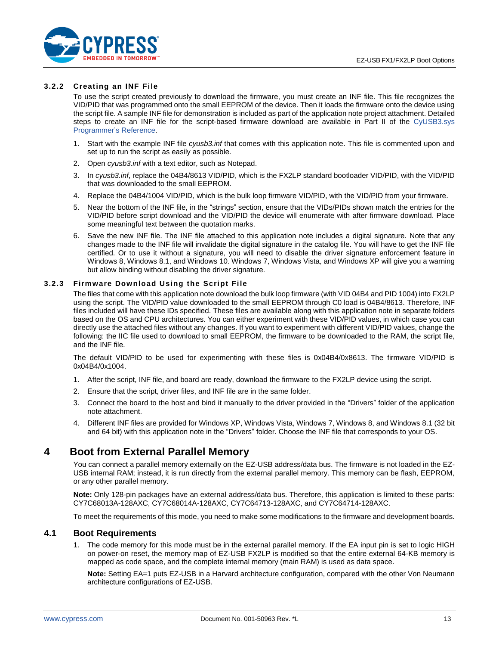

#### **3.2.2 Creating an INF File**

To use the script created previously to download the firmware, you must create an INF file. This file recognizes the VID/PID that was programmed onto the small EEPROM of the device. Then it loads the firmware onto the device using the script file. A sample INF file for demonstration is included as part of the application note project attachment. Detailed steps to create an INF file for the script-based firmware download are available in Part II of the [CyUSB3.sys](http://www.cypress.com/?docID=45919) [Programmer's Reference.](http://www.cypress.com/?docID=45919)

- 1. Start with the example INF file *cyusb3.inf* that comes with this application note. This file is commented upon and set up to run the script as easily as possible.
- 2. Open *cyusb3.inf* with a text editor, such as Notepad.
- 3. In *cyusb3.inf*, replace the 04B4/8613 VID/PID, which is the FX2LP standard bootloader VID/PID, with the VID/PID that was downloaded to the small EEPROM.
- 4. Replace the 04B4/1004 VID/PID, which is the bulk loop firmware VID/PID, with the VID/PID from your firmware.
- 5. Near the bottom of the INF file, in the "strings" section, ensure that the VIDs/PIDs shown match the entries for the VID/PID before script download and the VID/PID the device will enumerate with after firmware download. Place some meaningful text between the quotation marks.
- 6. Save the new INF file. The INF file attached to this application note includes a digital signature. Note that any changes made to the INF file will invalidate the digital signature in the catalog file. You will have to get the INF file certified. Or to use it without a signature, you will need to disable the driver signature enforcement feature in Windows 8, Windows 8.1, and Windows 10. Windows 7, Windows Vista, and Windows XP will give you a warning but allow binding without disabling the driver signature.

#### **3.2.3 Firmware Download Using the Script File**

The files that come with this application note download the bulk loop firmware (with VID 04B4 and PID 1004) into FX2LP using the script. The VID/PID value downloaded to the small EEPROM through C0 load is 04B4/8613. Therefore, INF files included will have these IDs specified. These files are available along with this application note in separate folders based on the OS and CPU architectures. You can either experiment with these VID/PID values, in which case you can directly use the attached files without any changes. If you want to experiment with different VID/PID values, change the following: the IIC file used to download to small EEPROM, the firmware to be downloaded to the RAM, the script file, and the INF file.

The default VID/PID to be used for experimenting with these files is 0x04B4/0x8613. The firmware VID/PID is 0x04B4/0x1004.

- 1. After the script, INF file, and board are ready, download the firmware to the FX2LP device using the script.
- 2. Ensure that the script, driver files, and INF file are in the same folder.
- 3. Connect the board to the host and bind it manually to the driver provided in the "Drivers" folder of the application note attachment.
- 4. Different INF files are provided for Windows XP, Windows Vista, Windows 7, Windows 8, and Windows 8.1 (32 bit and 64 bit) with this application note in the "Drivers" folder. Choose the INF file that corresponds to your OS.

## <span id="page-12-0"></span>**4 Boot from External Parallel Memory**

You can connect a parallel memory externally on the EZ-USB address/data bus. The firmware is not loaded in the EZ-USB internal RAM; instead, it is run directly from the external parallel memory. This memory can be flash, EEPROM, or any other parallel memory.

**Note:** Only 128-pin packages have an external address/data bus. Therefore, this application is limited to these parts: CY7C68013A-128AXC, CY7C68014A-128AXC, CY7C64713-128AXC, and CY7C64714-128AXC.

To meet the requirements of this mode, you need to make some modifications to the firmware and development boards.

### <span id="page-12-1"></span>**4.1 Boot Requirements**

1. The code memory for this mode must be in the external parallel memory. If the EA input pin is set to logic HIGH on power-on reset, the memory map of EZ-USB FX2LP is modified so that the entire external 64-KB memory is mapped as code space, and the complete internal memory (main RAM) is used as data space.

**Note:** Setting EA=1 puts EZ-USB in a Harvard architecture configuration, compared with the other Von Neumann architecture configurations of EZ-USB.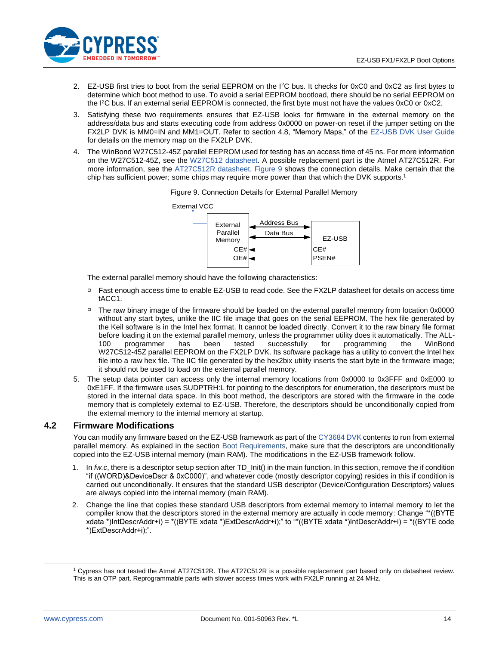

- 2. EZ-USB first tries to boot from the serial EEPROM on the I<sup>2</sup>C bus. It checks for 0xC0 and 0xC2 as first bytes to determine which boot method to use. To avoid a serial EEPROM bootload, there should be no serial EEPROM on the I<sup>2</sup>C bus. If an external serial EEPROM is connected, the first byte must not have the values 0xC0 or 0xC2.
- 3. Satisfying these two requirements ensures that EZ-USB looks for firmware in the external memory on the address/data bus and starts executing code from address 0x0000 on power-on reset if the jumper setting on the FX2LP DVK is MM0=IN and MM1=OUT. Refer to section 4.8, "Memory Maps," of the [EZ-USB DVK User Guide](http://www.cypress.com/?docID=37298) for details on the memory map on the FX2LP DVK.
- <span id="page-13-1"></span>4. The WinBond W27C512-45Z parallel EEPROM used for testing has an access time of 45 ns. For more information on the W27C512-45Z, see the [W27C512 datasheet.](http://www.kosmodrom.com.ua/pdf/W27C512-45Z.pdf) A possible replacement part is the Atmel AT27C512R. For more information, see the [AT27C512R datasheet.](http://www.atmel.com/dyn/resources/prod_documents/doc0015.pdf) [Figure 9](#page-13-1) shows the connection details. Make certain that the chip has sufficient power; some chips may require more power than that which the DVK supports.<sup>1</sup>



Figure 9. Connection Details for External Parallel Memory

The external parallel memory should have the following characteristics:

- □ Fast enough access time to enable EZ-USB to read code. See th[e FX2LP](http://www.cypress.com/?id=193&rtID=107) datasheet for details on access time tACC1.
- □ The raw binary image of the firmware should be loaded on the external parallel memory from location 0x0000 without any start bytes, unlike the IIC file image that goes on the serial EEPROM. The hex file generated by the Keil software is in the Intel hex format. It cannot be loaded directly. Convert it to the raw binary file format before loading it on the external parallel memory, unless the programmer utility does it automatically. The ALL-100 programmer has been tested successfully for programming the WinBond W27C512-45Z parallel EEPROM on the FX2LP DVK. Its software package has a utility to convert the Intel hex file into a raw hex file. The IIC file generated by the hex2bix utility inserts the start byte in the firmware image; it should not be used to load on the external parallel memory.
- 5. The setup data pointer can access only the internal memory locations from 0x0000 to 0x3FFF and 0xE000 to 0xE1FF. If the firmware uses SUDPTRH:L for pointing to the descriptors for enumeration, the descriptors must be stored in the internal data space. In this boot method, the descriptors are stored with the firmware in the code memory that is completely external to EZ-USB. Therefore, the descriptors should be unconditionally copied from the external memory to the internal memory at startup.

### <span id="page-13-0"></span>**4.2 Firmware Modifications**

You can modify any firmware based on the EZ-USB framework as part of th[e CY3684 DVK](http://www.cypress.com/?rID=14321) contents to run from external parallel memory. As explained in the section [Boot Requirements,](#page-12-1) make sure that the descriptors are unconditionally copied into the EZ-USB internal memory (main RAM). The modifications in the EZ-USB framework follow.

- 1. In *fw.c*, there is a descriptor setup section after TD\_Init() in the main function. In this section, remove the if condition "if ((WORD)&DeviceDscr & 0xC000)", and whatever code (mostly descriptor copying) resides in this if condition is carried out unconditionally. It ensures that the standard USB descriptor (Device/Configuration Descriptors) values are always copied into the internal memory (main RAM).
- 2. Change the line that copies these standard USB descriptors from external memory to internal memory to let the compiler know that the descriptors stored in the external memory are actually in code memory: Change "\*((BYTE xdata \*)IntDescrAddr+i) = \*((BYTE xdata \*)ExtDescrAddr+i);" to "\*((BYTE xdata \*)IntDescrAddr+i) = \*((BYTE code \*)ExtDescrAddr+i);".

 $\overline{a}$ 

<sup>1</sup> Cypress has not tested the Atmel AT27C512R. The AT27C512R is a possible replacement part based only on datasheet review. This is an OTP part. Reprogrammable parts with slower access times work with FX2LP running at 24 MHz.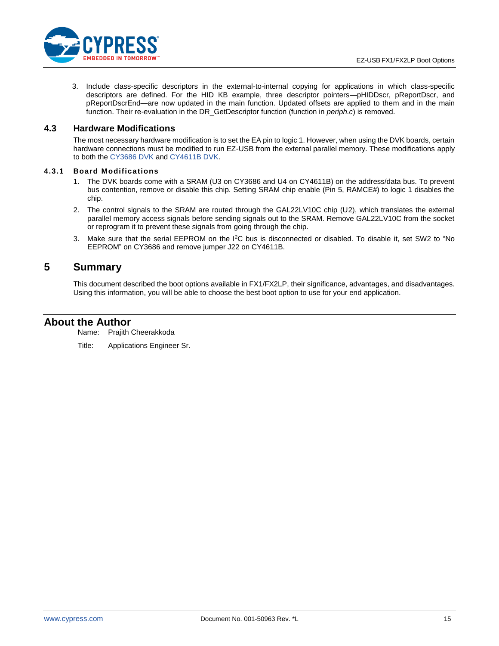

3. Include class-specific descriptors in the external-to-internal copying for applications in which class-specific descriptors are defined. For the HID KB example, three descriptor pointers—pHIDDscr, pReportDscr, and pReportDscrEnd—are now updated in the main function. Updated offsets are applied to them and in the main function. Their re-evaluation in the DR\_GetDescriptor function (function in *periph.c*) is removed.

### <span id="page-14-0"></span>**4.3 Hardware Modifications**

The most necessary hardware modification is to set the EA pin to logic 1. However, when using the DVK boards, certain hardware connections must be modified to run EZ-USB from the external parallel memory. These modifications apply to both the [CY3686 DVK](http://www.cypress.com/?rID=14320) an[d CY4611B DVK.](http://www.cypress.com/?rID=14406)

#### **4.3.1 Board Modifications**

- 1. The DVK boards come with a SRAM (U3 on CY3686 and U4 on CY4611B) on the address/data bus. To prevent bus contention, remove or disable this chip. Setting SRAM chip enable (Pin 5, RAMCE#) to logic 1 disables the chip.
- 2. The control signals to the SRAM are routed through the GAL22LV10C chip (U2), which translates the external parallel memory access signals before sending signals out to the SRAM. Remove GAL22LV10C from the socket or reprogram it to prevent these signals from going through the chip.
- 3. Make sure that the serial EEPROM on the I<sup>2</sup>C bus is disconnected or disabled. To disable it, set SW2 to "No EEPROM" on CY3686 and remove jumper J22 on CY4611B.

## <span id="page-14-1"></span>**5 Summary**

This document described the boot options available in FX1/FX2LP, their significance, advantages, and disadvantages. Using this information, you will be able to choose the best boot option to use for your end application.

### **About the Author**

Name: Prajith Cheerakkoda

Title: Applications Engineer Sr.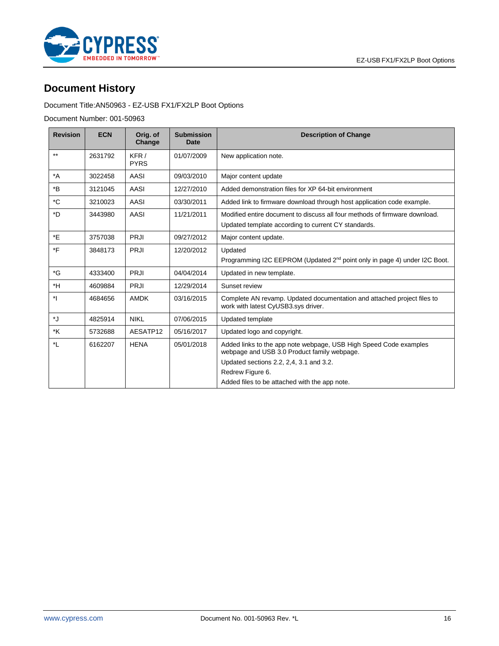

# <span id="page-15-0"></span>**Document History**

### Document Title:AN50963 - EZ-USB FX1/FX2LP Boot Options

Document Number: 001-50963

| <b>Revision</b>  | <b>ECN</b> | Orig. of<br>Change  | <b>Submission</b><br><b>Date</b> | <b>Description of Change</b>                                                                                                                                                     |
|------------------|------------|---------------------|----------------------------------|----------------------------------------------------------------------------------------------------------------------------------------------------------------------------------|
| $***$            | 2631792    | KFR/<br><b>PYRS</b> | 01/07/2009                       | New application note.                                                                                                                                                            |
| $^*A$            | 3022458    | AASI                | 09/03/2010                       | Major content update                                                                                                                                                             |
| $*_{\mathsf{B}}$ | 3121045    | AASI                | 12/27/2010                       | Added demonstration files for XP 64-bit environment                                                                                                                              |
| *C               | 3210023    | AASI                | 03/30/2011                       | Added link to firmware download through host application code example.                                                                                                           |
| $*D$             | 3443980    | AASI                | 11/21/2011                       | Modified entire document to discuss all four methods of firmware download.<br>Updated template according to current CY standards.                                                |
| *E               | 3757038    | <b>PRJI</b>         | 09/27/2012                       | Major content update.                                                                                                                                                            |
| *F               | 3848173    | <b>PRJI</b>         | 12/20/2012                       | Updated<br>Programming I2C EEPROM (Updated 2 <sup>nd</sup> point only in page 4) under I2C Boot.                                                                                 |
| *G               | 4333400    | <b>PRJI</b>         | 04/04/2014                       | Updated in new template.                                                                                                                                                         |
| *H               | 4609884    | <b>PRJI</b>         | 12/29/2014                       | Sunset review                                                                                                                                                                    |
| *1               | 4684656    | <b>AMDK</b>         | 03/16/2015                       | Complete AN revamp. Updated documentation and attached project files to<br>work with latest CyUSB3.sys driver.                                                                   |
| *J               | 4825914    | <b>NIKL</b>         | 07/06/2015                       | Updated template                                                                                                                                                                 |
| *K               | 5732688    | AESATP12            | 05/16/2017                       | Updated logo and copyright.                                                                                                                                                      |
| *L               | 6162207    | <b>HENA</b>         | 05/01/2018                       | Added links to the app note webpage, USB High Speed Code examples<br>webpage and USB 3.0 Product family webpage.<br>Updated sections 2.2, 2, 4, 3.1 and 3.2.<br>Redrew Figure 6. |
|                  |            |                     |                                  | Added files to be attached with the app note.                                                                                                                                    |